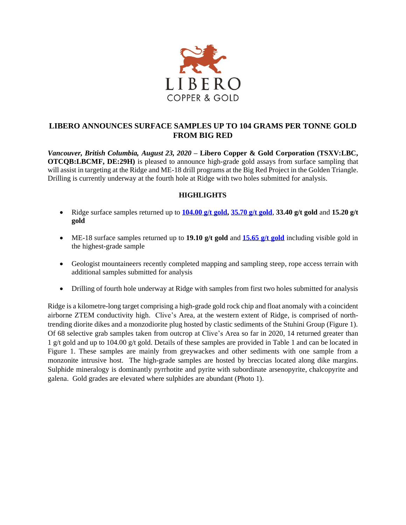

# **LIBERO ANNOUNCES SURFACE SAMPLES UP TO 104 GRAMS PER TONNE GOLD FROM BIG RED**

*Vancouver, British Columbia, August 23, 2020* **– Libero Copper & Gold Corporation (TSXV:LBC, OTCQB:LBCMF, DE:29H)** is pleased to announce high-grade gold assays from surface sampling that will assist in targeting at the Ridge and ME-18 drill programs at the Big Red Project in the Golden Triangle. Drilling is currently underway at the fourth hole at Ridge with two holes submitted for analysis.

## **HIGHLIGHTS**

- Ridge surface samples returned up to **104.00 [g/t gold,](https://www.flickr.com/photos/150654141@N07/50238869267/in/dateposted-public/) 35.70 [g/t gold](https://www.flickr.com/photos/150654141@N07/50238656191/in/dateposted-public/)**, **33.40 g/t gold** and **15.20 g/t gold**
- ME-18 surface samples returned up to **19.10 g/t gold** and **15.65 [g/t gold](https://www.flickr.com/photos/150654141@N07/50238007963/in/dateposted-public/)** including visible gold in the highest-grade sample
- Geologist mountaineers recently completed mapping and sampling steep, rope access terrain with additional samples submitted for analysis
- Drilling of fourth hole underway at Ridge with samples from first two holes submitted for analysis

Ridge is a kilometre-long target comprising a high-grade gold rock chip and float anomaly with a coincident airborne ZTEM conductivity high. Clive's Area, at the western extent of Ridge, is comprised of northtrending diorite dikes and a monzodiorite plug hosted by clastic sediments of the Stuhini Group (Figure 1). Of 68 selective grab samples taken from outcrop at Clive's Area so far in 2020, 14 returned greater than 1 g/t gold and up to 104.00 g/t gold. Details of these samples are provided in Table 1 and can be located in Figure 1. These samples are mainly from greywackes and other sediments with one sample from a monzonite intrusive host. The high-grade samples are hosted by breccias located along dike margins. Sulphide mineralogy is dominantly pyrrhotite and pyrite with subordinate arsenopyrite, chalcopyrite and galena. Gold grades are elevated where sulphides are abundant (Photo 1).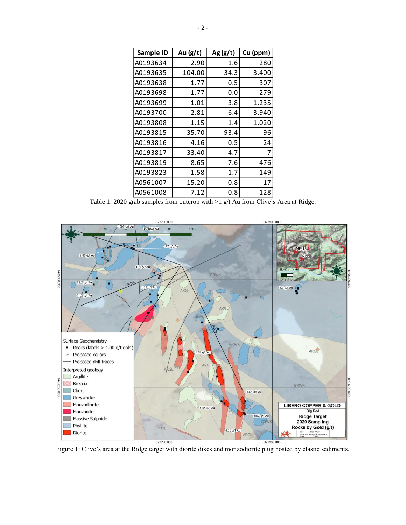| Sample ID | Au $(g/t)$ | Ag(g/t) | Cu (ppm) |
|-----------|------------|---------|----------|
| A0193634  | 2.90       | 1.6     | 280      |
| A0193635  | 104.00     | 34.3    | 3,400    |
| A0193638  | 1.77       | 0.5     | 307      |
| A0193698  | 1.77       | 0.0     | 279      |
| A0193699  | 1.01       | 3.8     | 1,235    |
| A0193700  | 2.81       | 6.4     | 3,940    |
| A0193808  | 1.15       | 1.4     | 1,020    |
| A0193815  | 35.70      | 93.4    | 96       |
| A0193816  | 4.16       | 0.5     | 24       |
| A0193817  | 33.40      | 4.7     | 7        |
| A0193819  | 8.65       | 7.6     | 476      |
| A0193823  | 1.58       | 1.7     | 149      |
| A0561007  | 15.20      | 0.8     | 17       |
| A0561008  | 7.12       | 0.8     | 128      |

Table 1: 2020 grab samples from outcrop with >1 g/t Au from Clive's Area at Ridge.



Figure 1: Clive's area at the Ridge target with diorite dikes and monzodiorite plug hosted by clastic sediments.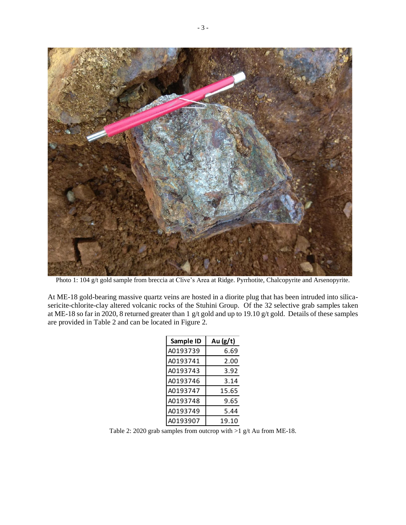

Photo 1: 104 g/t gold sample from breccia at Clive's Area at Ridge. Pyrrhotite, Chalcopyrite and Arsenopyrite.

At ME-18 gold-bearing massive quartz veins are hosted in a diorite plug that has been intruded into silicasericite-chlorite-clay altered volcanic rocks of the Stuhini Group. Of the 32 selective grab samples taken at ME-18 so far in 2020, 8 returned greater than 1 g/t gold and up to 19.10 g/t gold. Details of these samples are provided in Table 2 and can be located in Figure 2.

| Sample ID | Au $(g/t)$ |  |
|-----------|------------|--|
| A0193739  | 6.69       |  |
| A0193741  | 2.00       |  |
| A0193743  | 3.92       |  |
| A0193746  | 3.14       |  |
| A0193747  | 15.65      |  |
| A0193748  | 9.65       |  |
| A0193749  | 5.44       |  |
| A0193907  | 19.10      |  |

Table 2: 2020 grab samples from outcrop with >1 g/t Au from ME-18.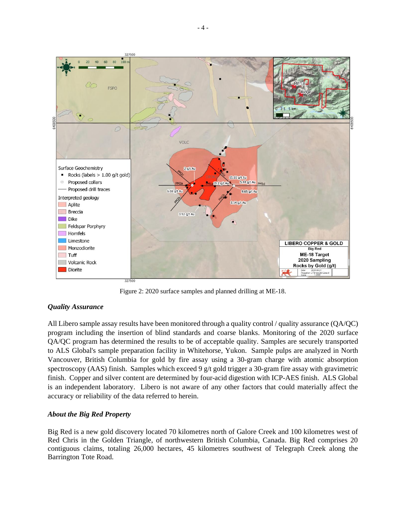

Figure 2: 2020 surface samples and planned drilling at ME-18.

### *Quality Assurance*

All Libero sample assay results have been monitored through a quality control / quality assurance (QA/QC) program including the insertion of blind standards and coarse blanks. Monitoring of the 2020 surface QA/QC program has determined the results to be of acceptable quality. Samples are securely transported to ALS Global's sample preparation facility in Whitehorse, Yukon. Sample pulps are analyzed in North Vancouver, British Columbia for gold by fire assay using a 30-gram charge with atomic absorption spectroscopy (AAS) finish. Samples which exceed 9 g/t gold trigger a 30-gram fire assay with gravimetric finish. Copper and silver content are determined by four-acid digestion with ICP-AES finish. ALS Global is an independent laboratory. Libero is not aware of any other factors that could materially affect the accuracy or reliability of the data referred to herein.

### *About the Big Red Property*

Big Red is a new gold discovery located 70 kilometres north of Galore Creek and 100 kilometres west of Red Chris in the Golden Triangle, of northwestern British Columbia, Canada. Big Red comprises 20 contiguous claims, totaling 26,000 hectares, 45 kilometres southwest of Telegraph Creek along the Barrington Tote Road.